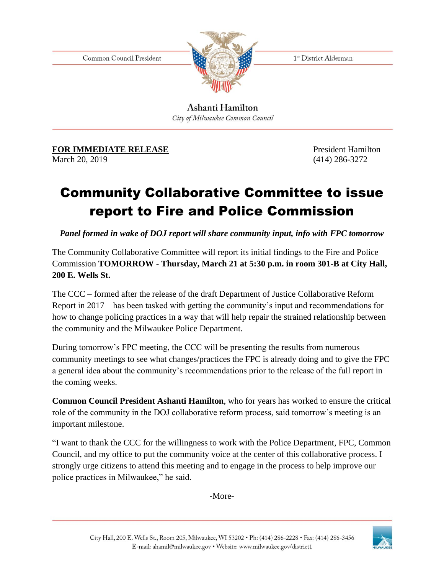Common Council President



1<sup>st</sup> District Alderman

Ashanti Hamilton City of Milwaukee Common Council

## **FOR IMMEDIATE RELEASE** President Hamilton

March 20, 2019 (414) 286-3272

## Community Collaborative Committee to issue report to Fire and Police Commission

*Panel formed in wake of DOJ report will share community input, info with FPC tomorrow*

The Community Collaborative Committee will report its initial findings to the Fire and Police Commission **TOMORROW** - **Thursday, March 21 at 5:30 p.m. in room 301-B at City Hall, 200 E. Wells St.**

The CCC – formed after the release of the draft Department of Justice Collaborative Reform Report in 2017 – has been tasked with getting the community's input and recommendations for how to change policing practices in a way that will help repair the strained relationship between the community and the Milwaukee Police Department.

During tomorrow's FPC meeting, the CCC will be presenting the results from numerous community meetings to see what changes/practices the FPC is already doing and to give the FPC a general idea about the community's recommendations prior to the release of the full report in the coming weeks.

**Common Council President Ashanti Hamilton**, who for years has worked to ensure the critical role of the community in the DOJ collaborative reform process, said tomorrow's meeting is an important milestone.

"I want to thank the CCC for the willingness to work with the Police Department, FPC, Common Council, and my office to put the community voice at the center of this collaborative process. I strongly urge citizens to attend this meeting and to engage in the process to help improve our police practices in Milwaukee," he said.

-More-